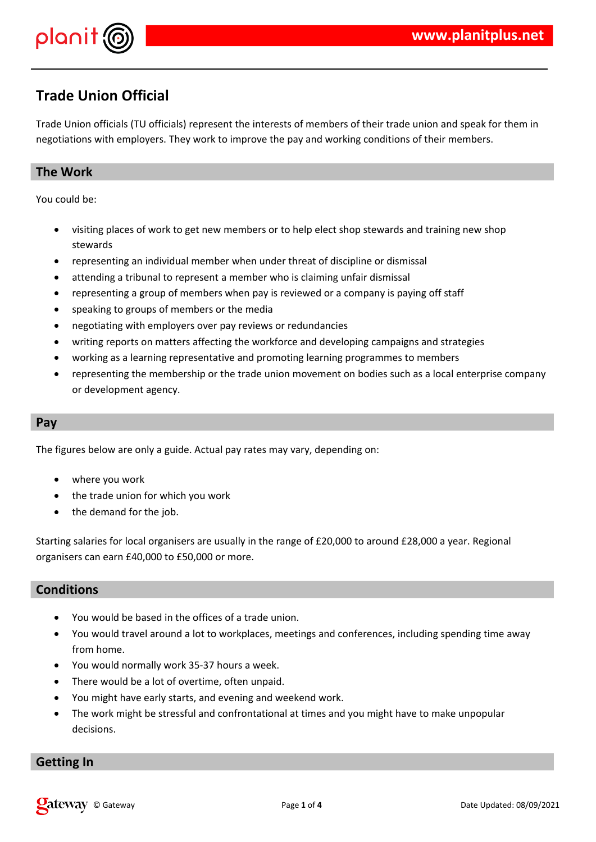

### **Trade Union Official**

Trade Union officials (TU officials) represent the interests of members of their trade union and speak for them in negotiations with employers. They work to improve the pay and working conditions of their members.

### **The Work**

You could be:

- visiting places of work to get new members or to help elect shop stewards and training new shop stewards
- representing an individual member when under threat of discipline or dismissal
- attending a tribunal to represent a member who is claiming unfair dismissal
- representing a group of members when pay is reviewed or a company is paying off staff
- speaking to groups of members or the media
- negotiating with employers over pay reviews or redundancies
- writing reports on matters affecting the workforce and developing campaigns and strategies
- working as a learning representative and promoting learning programmes to members
- representing the membership or the trade union movement on bodies such as a local enterprise company or development agency.

#### **Pay**

The figures below are only a guide. Actual pay rates may vary, depending on:

- where you work
- the trade union for which you work
- the demand for the job.

Starting salaries for local organisers are usually in the range of £20,000 to around £28,000 a year. Regional organisers can earn £40,000 to £50,000 or more.

#### **Conditions**

- You would be based in the offices of a trade union.
- You would travel around a lot to workplaces, meetings and conferences, including spending time away from home.
- You would normally work 35-37 hours a week.
- There would be a lot of overtime, often unpaid.
- You might have early starts, and evening and weekend work.
- The work might be stressful and confrontational at times and you might have to make unpopular decisions.

#### **Getting In**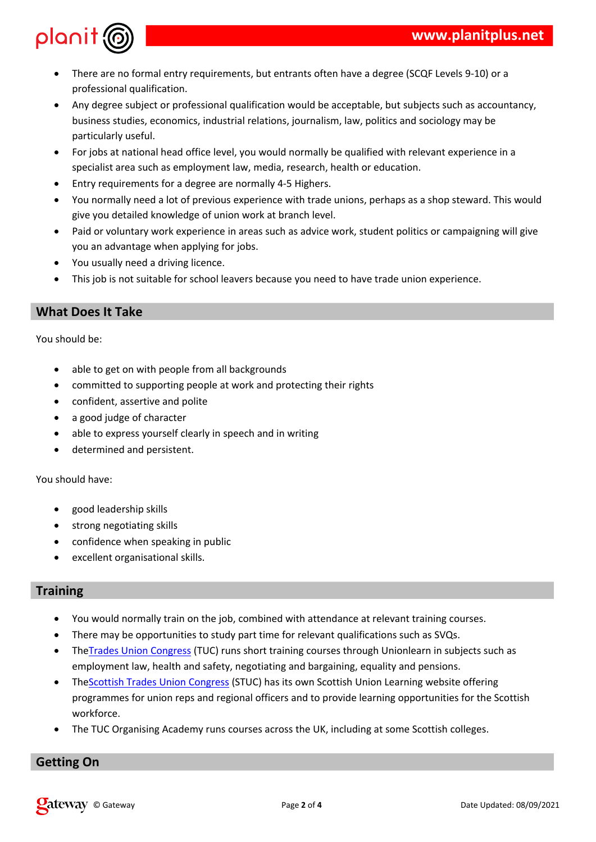|                         |      |         |                |       |           | 3# |      | $\sim 1$               | "# |              |         |   |                             | &                      |     |         |   | $+456$ 7 1& |      |      |
|-------------------------|------|---------|----------------|-------|-----------|----|------|------------------------|----|--------------|---------|---|-----------------------------|------------------------|-----|---------|---|-------------|------|------|
|                         |      |         |                | 3#    |           |    |      | %                      |    |              |         |   |                             |                        |     |         |   |             |      |      |
|                         |      |         |                | # " * |           |    |      | 3#                     |    |              |         |   | $\#$                        | п                      |     | $#$ " " |   | ##          |      | Ħ    |
| " #                     |      |         |                | $\#$  |           |    | #    |                        |    |              | * )#    |   |                             | $\left  \cdot \right)$ |     |         |   |             | п    |      |
|                         |      |         | $\#$           | $\#$  | #         | %  |      |                        |    |              |         |   |                             |                        |     |         |   |             |      |      |
| 6                       |      | $\star$ | $\mathbf{u}$   |       |           |    | &    | #                      |    | #            |         | L | $\mathbf{u}_{\mathrm{max}}$ | 3#                     |     |         |   | &           | 8    |      |
|                         |      |         |                | $\#$  |           | Ţ  | Ţ    |                        | Ţ  |              |         |   |                             |                        |     | $\#$    |   | $\%$        |      |      |
| 9                       |      |         | 3#             | Ţ     |           |    |      |                        |    |              | $.1/$ : |   |                             | $\%$                   |     |         |   |             |      |      |
| $\mathbf{r}_\mathrm{c}$ | $\#$ |         | Ţ              |       |           |    |      | 8 &                    |    | $^{\#}$      |         |   |                             | #                      |     |         |   |             | %    | $\#$ |
|                         | $\&$ |         | $\#$           |       | \$        |    | $\#$ |                        | \$ | $\mathbf{H}$ |         |   | &                           | $\%$                   |     |         |   |             |      |      |
|                         |      |         | &              | $\#$  |           | \$ | 8    |                        |    |              | $\#$    | & |                             |                        | \$) |         |   |             |      | &    |
|                         | $\#$ |         | $\&$           |       |           |    |      | $\star$ $\blacksquare$ | %  |              |         |   |                             |                        |     |         |   |             |      |      |
| $\mathbf{I}$            | # #  |         | #              |       | &         |    |      | $\%$                   |    |              |         |   |                             |                        |     |         |   |             |      |      |
|                         |      | $\star$ | $\blacksquare$ |       | $\#$<br>н |    |      | &                      |    | H            | ##      |   |                             | &                      |     | $\#$    | 8 |             | $\%$ |      |
|                         |      |         |                |       |           |    |      |                        |    |              |         |   |                             |                        |     |         |   |             |      |      |

#### $+$  #  $#$  $\mathbf{u}$

 $+$  #

| π            |            |   |   | Ţ | $\mathbf{u}$ | $\frac{1}{2}$ | # |
|--------------|------------|---|---|---|--------------|---------------|---|
| $\mathbf{1}$ |            | # |   |   |              | \$            |   |
|              | ١          | & |   |   |              |               |   |
|              | $^\star$ # |   |   |   |              |               |   |
| π            | 8          |   | # |   |              |               |   |
|              | ļ          |   |   |   | $\%$         |               |   |
|              |            |   |   |   |              |               |   |
| #            | &          |   |   |   |              |               |   |

|   | \$                        |      |
|---|---------------------------|------|
|   | \$                        |      |
|   | \$<br># "                 |      |
| 8 | $\boldsymbol{\mathsf{S}}$ | $\%$ |

| # | #       |                           |      | and the company | $*$ ")!"       |     |    |   |               |   |    | & |   | %<br>#  |         |   |
|---|---------|---------------------------|------|-----------------|----------------|-----|----|---|---------------|---|----|---|---|---------|---------|---|
|   |         | $\mathbf{I}$ $\mathbf{I}$ |      | #               | #              |     |    |   | &             |   | 3# |   | # |         | $+;5$ % |   |
|   |         |                           |      | $\overline{4}$  | $\overline{4}$ | #   |    |   | $\#$          |   | #  |   |   | $# " *$ |         | # |
|   |         |                           |      |                 |                |     |    | ш |               |   | 3# |   |   |         | %       |   |
|   | $+$ $-$ |                           |      |                 |                | $+$ | 4  |   |               |   |    |   | п |         |         |   |
|   |         | -11                       | #    |                 |                |     |    |   |               | & |    |   |   | #       |         |   |
|   | \$      |                           | $\%$ |                 |                |     |    |   |               |   |    |   |   |         |         |   |
|   |         | 4                         |      |                 | $\sim 1$       |     | ## |   | $=$ $\lambda$ |   | #  |   |   |         |         |   |
|   |         |                           |      |                 |                |     |    |   |               |   |    |   |   |         |         |   |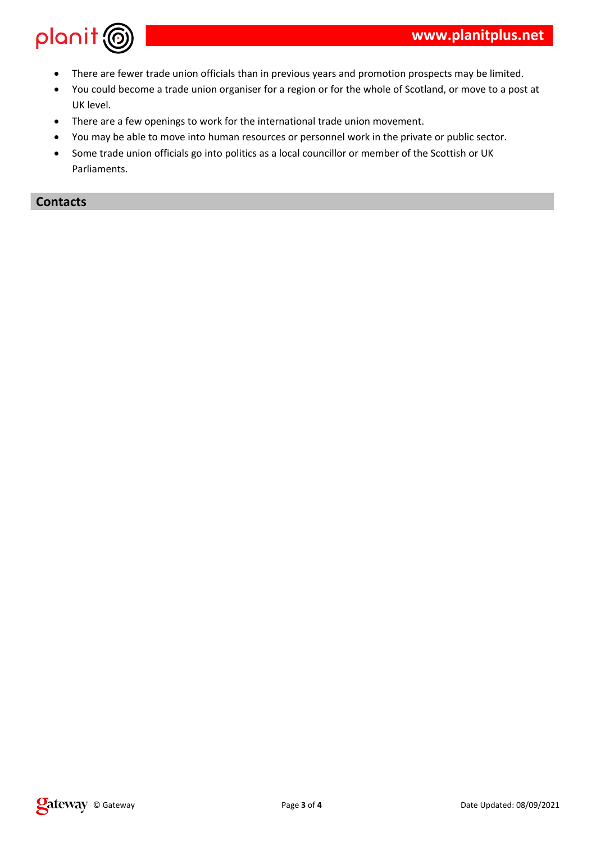

- There are fewer trade union officials than in previous years and promotion prospects may be limited.
- You could become a trade union organiser for a region or for the whole of Scotland, or move to a post at UK level.
- There are a few openings to work for the international trade union movement.
- You may be able to move into human resources or personnel work in the private or public sector.
- Some trade union officials go into politics as a local councillor or member of the Scottish or UK Parliaments.

### **Contacts**